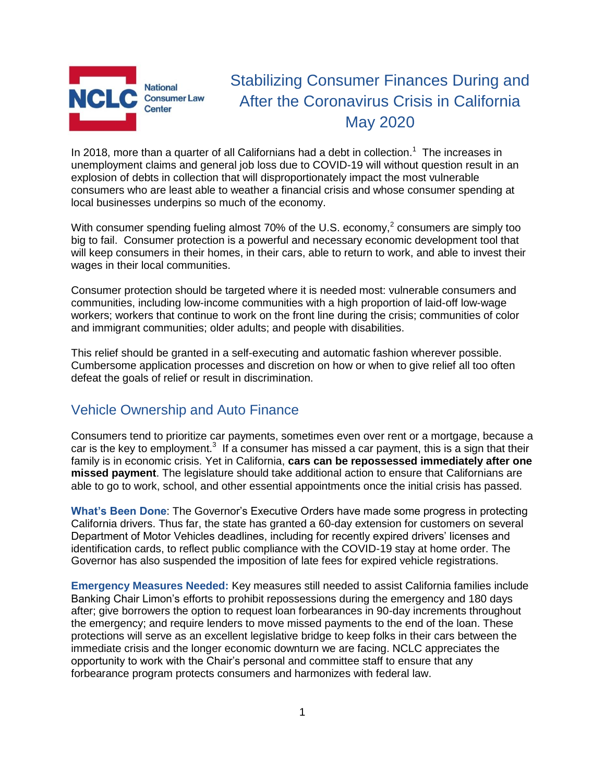

# Stabilizing Consumer Finances During and After the Coronavirus Crisis in California May 2020

In 2018, more than a quarter of all Californians had a debt in collection.<sup>1</sup> The increases in unemployment claims and general job loss due to COVID-19 will without question result in an explosion of debts in collection that will disproportionately impact the most vulnerable consumers who are least able to weather a financial crisis and whose consumer spending at local businesses underpins so much of the economy.

With consumer spending fueling almost 70% of the U.S. economy,<sup>2</sup> consumers are simply too big to fail. Consumer protection is a powerful and necessary economic development tool that will keep consumers in their homes, in their cars, able to return to work, and able to invest their wages in their local communities.

Consumer protection should be targeted where it is needed most: vulnerable consumers and communities, including low-income communities with a high proportion of laid-off low-wage workers; workers that continue to work on the front line during the crisis; communities of color and immigrant communities; older adults; and people with disabilities.

This relief should be granted in a self-executing and automatic fashion wherever possible. Cumbersome application processes and discretion on how or when to give relief all too often defeat the goals of relief or result in discrimination.

# Vehicle Ownership and Auto Finance

Consumers tend to prioritize car payments, sometimes even over rent or a mortgage, because a car is the key to employment.<sup>3</sup> If a consumer has missed a car payment, this is a sign that their family is in economic crisis. Yet in California, **cars can be repossessed immediately after one missed payment**. The legislature should take additional action to ensure that Californians are able to go to work, school, and other essential appointments once the initial crisis has passed.

**What's Been Done**: The Governor's Executive Orders have made some progress in protecting California drivers. Thus far, the state has granted a 60-day extension for customers on several Department of Motor Vehicles deadlines, including for recently expired drivers' licenses and identification cards, to reflect public compliance with the COVID-19 stay at home order. The Governor has also suspended the imposition of late fees for expired vehicle registrations.

**Emergency Measures Needed:** Key measures still needed to assist California families include Banking Chair Limon's efforts to prohibit repossessions during the emergency and 180 days after; give borrowers the option to request loan forbearances in 90-day increments throughout the emergency; and require lenders to move missed payments to the end of the loan. These protections will serve as an excellent legislative bridge to keep folks in their cars between the immediate crisis and the longer economic downturn we are facing. NCLC appreciates the opportunity to work with the Chair's personal and committee staff to ensure that any forbearance program protects consumers and harmonizes with federal law.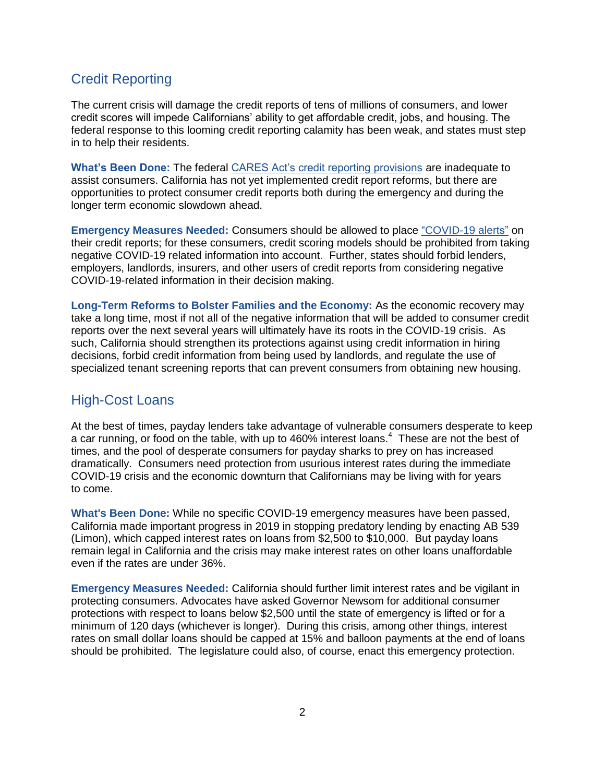# Credit Reporting

The current crisis will damage the credit reports of tens of millions of consumers, and lower credit scores will impede Californians' ability to get affordable credit, jobs, and housing. The federal response to this looming credit reporting calamity has been weak, and states must step in to help their residents.

**What's Been Done:** The federal [CARES Act's credit reporting provisions](https://www.nclc.org/images/pdf/special_projects/covid-19/IB_Protecting_Credit_Reports_Covid.pdf) are inadequate to assist consumers. California has not yet implemented credit report reforms, but there are opportunities to protect consumer credit reports both during the emergency and during the longer term economic slowdown ahead.

**Emergency Measures Needed:** Consumers should be allowed to plac[e](http://bit.ly/brief-covid-19-state-credit-reporting) ["COVID-19](http://bit.ly/brief-covid-19-state-credit-reporting) [alerts"](http://bit.ly/brief-covid-19-state-credit-reporting) [on](http://bit.ly/brief-covid-19-state-credit-reporting)  [their credit reports; for these consumers, credit scoring models should be prohibited from taking](http://bit.ly/brief-covid-19-state-credit-reporting)  [negative COVID-19 related information into account.](http://bit.ly/brief-covid-19-state-credit-reporting) Further, states should forbid lenders, employers, landlords, insurers, and other users of credit reports from considering negative COVID-19-related information in their decision making.

**Long-Term Reforms to Bolster Families and the Economy:** As the economic recovery may take a long time, most if not all of the negative information that will be added to consumer credit reports over the next several years will ultimately have its roots in the COVID-19 crisis. As such, California should strengthen its protections against using credit information in hiring decisions, forbid credit information from being used by landlords, and regulate the use of specialized tenant screening reports that can prevent consumers from obtaining new housing.

## High-Cost Loans

At the best of times, payday lenders take advantage of vulnerable consumers desperate to keep a car running, or food on the table, with up to 460% interest loans.<sup>4</sup> These are not the best of times, and the pool of desperate consumers for payday sharks to prey on has increased dramatically. Consumers need protection from usurious interest rates during the immediate COVID-19 crisis and the economic downturn that Californians may be living with for years to come.

**What's Been Done:** While no specific COVID-19 emergency measures have been passed, California made important progress in 2019 in stopping predatory lending by enacting AB 539 (Limon), which capped interest rates on loans from \$2,500 to \$10,000. But payday loans remain legal in California and the crisis may make interest rates on other loans unaffordable even if the rates are under 36%.

**Emergency Measures Needed:** California should further limit interest rates and be vigilant in protecting consumers. Advocates have asked Governor Newsom for additional consumer protections with respect to loans below \$2,500 until the state of emergency is lifted or for a minimum of 120 days (whichever is longer). During this crisis, among other things, interest rates on small dollar loans should be capped at 15% and balloon payments at the end of loans should be prohibited. The legislature could also, of course, enact this emergency protection.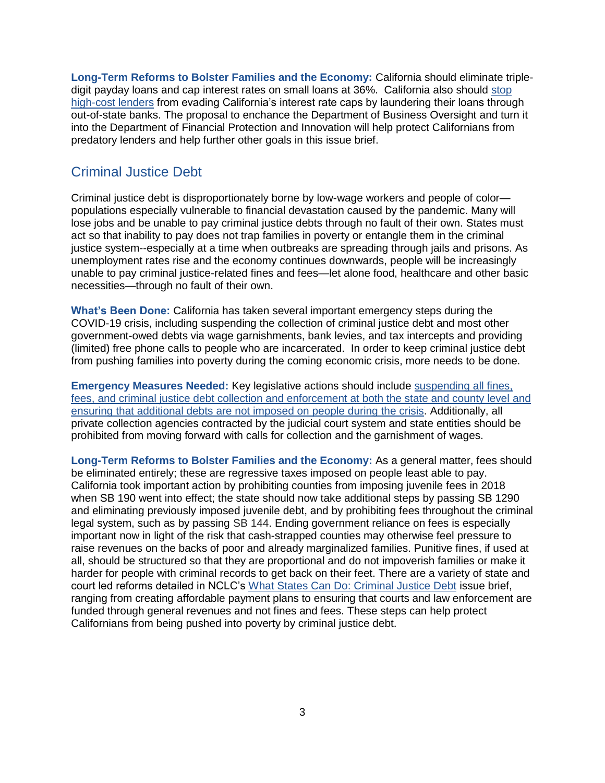**Long-Term Reforms to Bolster Families and the Economy:** California should eliminate tripledigit payday loans and cap interest rates on small loans at 36%. California also should [stop](https://www.nclc.org/issues/high-cost-small-loans/rent-a-bank-loan-watch-list.html)  [high-cost lenders](https://www.nclc.org/issues/high-cost-small-loans/rent-a-bank-loan-watch-list.html) from evading California's interest rate caps by laundering their loans through out-of-state banks. The proposal to enchance the Department of Business Oversight and turn it into the Department of Financial Protection and Innovation will help protect Californians from predatory lenders and help further other goals in this issue brief.

# Criminal Justice Debt

Criminal justice debt is disproportionately borne by low-wage workers and people of color populations especially vulnerable to financial devastation caused by the pandemic. Many will lose jobs and be unable to pay criminal justice debts through no fault of their own. States must act so that inability to pay does not trap families in poverty or entangle them in the criminal justice system--especially at a time when outbreaks are spreading through jails and prisons. As unemployment rates rise and the economy continues downwards, people will be increasingly unable to pay criminal justice-related fines and fees—let alone food, healthcare and other basic necessities—through no fault of their own.

**What's Been Done:** California has taken several important emergency steps during the COVID-19 crisis, including suspending the collection of criminal justice debt and most other government-owed debts via wage garnishments, bank levies, and tax intercepts and providing (limited) free phone calls to people who are incarcerated. In order to keep criminal justice debt from pushing families into poverty during the coming economic crisis, more needs to be done.

**Emergency Measures Needed:** Key legislative actions should include [suspending all fines,](https://nam01.safelinks.protection.outlook.com/?url=https%3A%2F%2Fwww.nclc.org%2Fimages%2Fpdf%2Fspecial_projects%2Fcovid-19%2FIB_Coronavirus_and_Criminal_Justice_Debt.pdf&data=01%7C01%7C%7C29e2f3830da742a6190908d7fd2ca377%7Ca5294653d816497c9e00a21fa49baeaf%7C0&sdata=NpEM%2F%2B2Ln5LrmmZRuRx7Xa9OjZT2ynGzVib%2FaDe%2BorQ%3D&reserved=0)  [fees, and criminal justice debt collection and enforcement at both the state and county level](hhttps://www.nclc.org/images/pdf/special_projects/covid-19/IB_Coronavirus_and_Criminal_Justice_Debt.pdf) [and](hhttps://www.nclc.org/images/pdf/special_projects/covid-19/IB_Coronavirus_and_Criminal_Justice_Debt.pdf)  [ensuring that additional debts are not imposed on people during the crisis.](https://nam01.safelinks.protection.outlook.com/?url=https%3A%2F%2Fwww.nclc.org%2Fimages%2Fpdf%2Fspecial_projects%2Fcovid-19%2FIB_Coronavirus_and_Criminal_Justice_Debt.pdf&data=01%7C01%7C%7C29e2f3830da742a6190908d7fd2ca377%7Ca5294653d816497c9e00a21fa49baeaf%7C0&sdata=NpEM%2F%2B2Ln5LrmmZRuRx7Xa9OjZT2ynGzVib%2FaDe%2BorQ%3D&reserved=0) Additionally, all private collection agencies contracted by the judicial court system and state entities should be prohibited from moving forward with calls for collection and the garnishment of wages.

**Long-Term Reforms to Bolster Families and the Economy:** As a general matter, fees should be eliminated entirely; these are regressive taxes imposed on people least able to pay. California took important action by prohibiting counties from imposing juvenile fees in 2018 when SB 190 went into effect; the state should now take additional steps by passing SB 1290 and eliminating previously imposed juvenile debt, and by prohibiting fees throughout the criminal legal system, such as by passing SB 144. Ending government reliance on fees is especially important now in light of the risk that cash-strapped counties may otherwise feel pressure to raise revenues on the backs of poor and already marginalized families. Punitive fines, if used at all, should be structured so that they are proportional and do not impoverish families or make it harder for people with criminal records to get back on their feet. There are a variety of state and court led reforms detailed in NCLC's [What States Can Do: Criminal Justice Debt](https://www.nclc.org/issues/fs-criminal-justice-debt.html) issue brief, ranging from creating affordable payment plans to ensuring that courts and law enforcement are funded through general revenues and not fines and fees. These steps can help protect Californians from being pushed into poverty by criminal justice debt.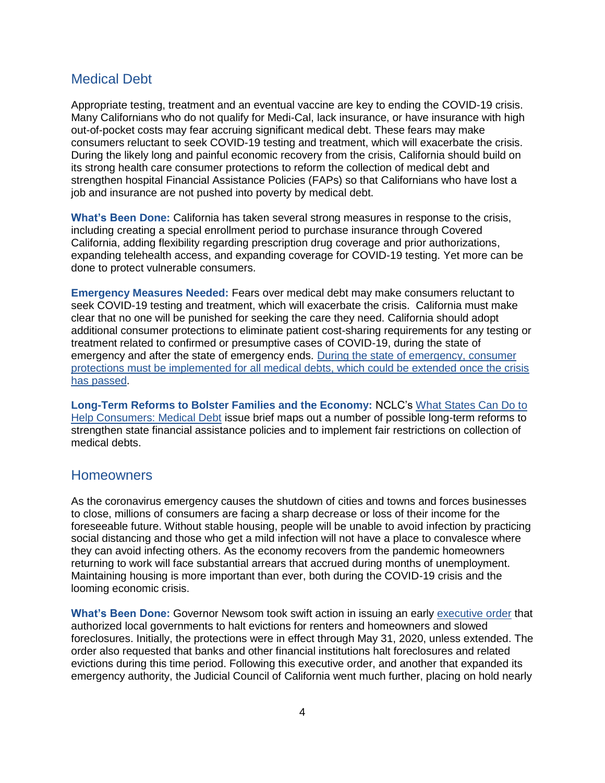### Medical Debt

Appropriate testing, treatment and an eventual vaccine are key to ending the COVID-19 crisis. Many Californians who do not qualify for Medi-Cal, lack insurance, or have insurance with high out-of-pocket costs may fear accruing significant medical debt. These fears may make consumers reluctant to seek COVID-19 testing and treatment, which will exacerbate the crisis. During the likely long and painful economic recovery from the crisis, California should build on its strong health care consumer protections to reform the collection of medical debt and strengthen hospital Financial Assistance Policies (FAPs) so that Californians who have lost a job and insurance are not pushed into poverty by medical debt.

**What's Been Done:** California has taken several strong measures in response to the crisis, including creating a special enrollment period to purchase insurance through Covered California, adding flexibility regarding prescription drug coverage and prior authorizations, expanding telehealth access, and expanding coverage for COVID-19 testing. Yet more can be done to protect vulnerable consumers.

**Emergency Measures Needed[:](https://www.nclc.org/images/pdf/special_projects/covid-19/IB_Covid_Medical_Debt.pdf)** Fears over medical debt may make consumers reluctant to seek COVID-19 testing and treatment, which will exacerbate the crisis. California must make clear that no one will be punished for seeking the care they need. California should adopt additional consumer protections to eliminate patient cost-sharing requirements for any testing or treatment related to confirmed or presumptive cases of COVID-19, during the state of emergency and after the state of emergency ends. [During the state of emergency, consumer](https://www.nclc.org/images/pdf/special_projects/covid-19/IB_Covid_Medical_Debt.pdf)  [protections must be implemented for all medical debts, which could be extended once the crisis](https://www.nclc.org/images/pdf/special_projects/covid-19/IB_Covid_Medical_Debt.pdf)  [has passed.](https://www.nclc.org/images/pdf/special_projects/covid-19/IB_Covid_Medical_Debt.pdf)

**Long-Term Reforms to Bolster Families and the Economy:** NCLC's [What States Can Do to](https://www.nclc.org/images/pdf/debt_collection/fact-sheets/fact-sheet-med-debt-state-reform.pdf)  [Help Consumers: Medical Debt](https://www.nclc.org/images/pdf/debt_collection/fact-sheets/fact-sheet-med-debt-state-reform.pdf) issue brief maps out a number of possible long-term reforms to strengthen state financial assistance policies and to implement fair restrictions on collection of medical debts.

#### **Homeowners**

As the coronavirus emergency causes the shutdown of cities and towns and forces businesses to close, millions of consumers are facing a sharp decrease or loss of their income for the foreseeable future. Without stable housing, people will be unable to avoid infection by practicing social distancing and those who get a mild infection will not have a place to convalesce where they can avoid infecting others. As the economy recovers from the pandemic homeowners returning to work will face substantial arrears that accrued during months of unemployment. Maintaining housing is more important than ever, both during the COVID-19 crisis and the looming economic crisis.

**What's Been Done:** Governor Newsom took swift action in issuing an early [executive order](https://www.gov.ca.gov/wp-content/uploads/2020/03/3.16.20-Executive-Order.pdf) that authorized local governments to halt evictions for renters and homeowners and slowed foreclosures. Initially, the protections were in effect through May 31, 2020, unless extended. The order also requested that banks and other financial institutions halt foreclosures and related evictions during this time period. Following this executive order, and another that expanded its emergency authority, the Judicial Council of California went much further, placing on hold nearly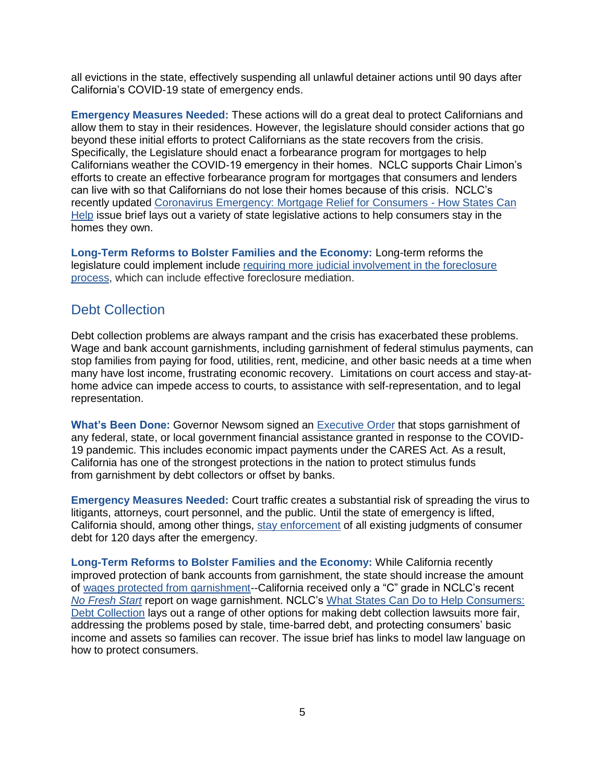all evictions in the state, effectively suspending all unlawful detainer actions until 90 days after California's COVID-19 state of emergency ends.

**Emergency Measures Needed:** These actions will do a great deal to protect Californians and allow them to stay in their residences. However, the legislature should consider actions that go beyond these initial efforts to protect Californians as the state recovers from the crisis. Specifically, the Legislature should enact a forbearance program for mortgages to help Californians weather the COVID-19 emergency in their homes. NCLC supports Chair Limon's efforts to create an effective forbearance program for mortgages that consumers and lenders can live with so that Californians do not lose their homes because of this crisis. NCLC's recently updated [Coronavirus Emergency: Mortgage Relief for Consumers -](https://www.nclc.org/images/pdf/special_projects/covid-19/IB_Covid_State_Mortgage_Relief.pdf) How States Can [Help](https://www.nclc.org/images/pdf/special_projects/covid-19/IB_Covid_State_Mortgage_Relief.pdf) issue brief lays out a variety of state legislative actions to help consumers stay in the homes they own.

**Long-Term Reforms to Bolster Families and the Economy:** Long-term reforms the legislature could implement include [requiring more judicial involvement in the foreclosure](https://www.nclc.org/images/pdf/special_projects/covid-19/IB_Covid_State_Mortgage_Relief.pdf)  [process,](https://www.nclc.org/images/pdf/special_projects/covid-19/IB_Covid_State_Mortgage_Relief.pdf) which can include effective foreclosure mediation.

### Debt Collection

Debt collection problems are always rampant and the crisis has exacerbated these problems. Wage and bank account garnishments, including garnishment of federal stimulus payments, can stop families from paying for food, utilities, rent, medicine, and other basic needs at a time when many have lost income, frustrating economic recovery. Limitations on court access and stay-athome advice can impede access to courts, to assistance with self-representation, and to legal representation.

**What's Been Done:** Governor Newsom signed an [Executive Order](https://www.gov.ca.gov/wp-content/uploads/2020/04/4.23.20-EO-N-57-20.pdf) that stops garnishment of any federal, state, or local government financial assistance granted in response to the COVID-19 pandemic. This includes economic impact payments under the CARES Act. As a result, California has one of the strongest protections in the nation to protect stimulus funds from garnishment by debt collectors or offset by banks.

**Emergency Measures Needed:** Court traffic creates a substantial risk of spreading the virus to litigants, attorneys, court personnel, and the public. Until the state of emergency is lifted, California should, among other things, [stay enforcement](https://www.nclc.org/images/pdf/special_projects/covid-19/IB_Collection_Lawsuits_032020.pdf) of all existing judgments of consumer debt for 120 days after the emergency.

**Long-Term Reforms to Bolster Families and the Economy:** While California recently improved protection of bank accounts from garnishment, the state should increase the amount o[f](https://www.nclc.org/images/pdf/debt_collection/app-a-no-fresh-start-nov2019.pdf) [wages protected from garnishment-](https://www.nclc.org/images/pdf/debt_collection/app-a-no-fresh-start-nov2019.pdf)-California received only a "C" grade in NCLC's recent *[No Fresh Start](https://www.nclc.org/issues/report-still-no-fresh-start.html)* report on wage garnishment. NCLC's [What States Can Do to Help Consumers:](https://www.nclc.org/images/pdf/debt_collection/fact-sheets/fact-sheet-debt-collection-state-reform.pdf)  [Debt Collection](https://www.nclc.org/images/pdf/debt_collection/fact-sheets/fact-sheet-debt-collection-state-reform.pdf) lays out a range of other options for making debt collection lawsuits more fair, addressing the problems posed by stale, time-barred debt, and protecting consumers' basic income and assets so families can recover. The issue brief has links to model law language on how to protect consumers.